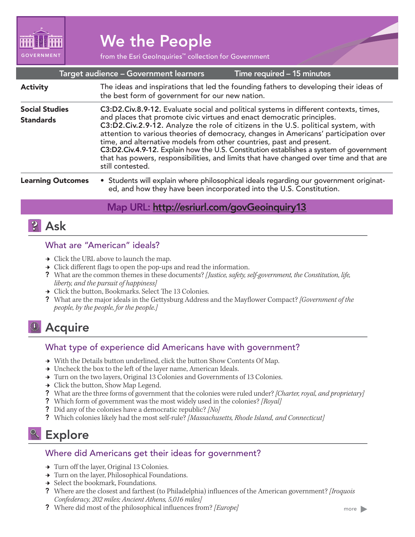

# We the People

from the Esri GeoInquiries™ collection for Government

|  | Target audience – Government learners |
|--|---------------------------------------|
|  |                                       |

Time required – 15 minutes

| <b>Activity</b>                           | The ideas and inspirations that led the founding fathers to developing their ideas of<br>the best form of government for our new nation.                                                                                                                                                                                                                                                                                                                                                                                                                                                                                     |
|-------------------------------------------|------------------------------------------------------------------------------------------------------------------------------------------------------------------------------------------------------------------------------------------------------------------------------------------------------------------------------------------------------------------------------------------------------------------------------------------------------------------------------------------------------------------------------------------------------------------------------------------------------------------------------|
| <b>Social Studies</b><br><b>Standards</b> | C3:D2.Civ.8.9-12. Evaluate social and political systems in different contexts, times,<br>and places that promote civic virtues and enact democratic principles.<br>C3:D2.Civ.2.9-12. Analyze the role of citizens in the U.S. political system, with<br>attention to various theories of democracy, changes in Americans' participation over<br>time, and alternative models from other countries, past and present.<br>C3:D2.Civ.4.9-12. Explain how the U.S. Constitution establishes a system of government<br>that has powers, responsibilities, and limits that have changed over time and that are<br>still contested. |
|                                           | The contract $\bigcap_{i=1}^n C_i$ and $\bigcap_{i=1}^n C_i$ and $\bigcap_{i=1}^n C_i$ and $\bigcap_{i=1}^n C_i$ and $\bigcap_{i=1}^n C_i$ and $\bigcap_{i=1}^n C_i$ and $\bigcap_{i=1}^n C_i$                                                                                                                                                                                                                                                                                                                                                                                                                               |

#### • Students will explain where philosophical ideals regarding our government originated, and how they have been incorporated into the U.S. Constitution. Learning Outcomes

### Map URL: http://esriurl.com/govGeoinquiry13

### **P** Ask

### What are "American" ideals?

- $\rightarrow$  Click the URL above to launch the map.
- $\rightarrow$  Click different flags to open the pop-ups and read the information.
- ? What are the common themes in these documents? *[Justice, safety, self-government, the Constitution, life, liberty, and the pursuit of happiness]*
- → Click the button, Bookmarks. Select The 13 Colonies.
- ? What are the major ideals in the Gettysburg Address and the Mayflower Compact? *[Government of the people, by the people, for the people.]*

## <sup>4</sup> Acquire

#### What type of experience did Americans have with government?

- → With the Details button underlined, click the button Show Contents Of Map.
- → Uncheck the box to the left of the layer name, American Ideals.
- → Turn on the two layers, Original 13 Colonies and Governments of 13 Colonies.
- $\rightarrow$  Click the button, Show Map Legend.
- ? What are the three forms of government that the colonies were ruled under? *[Charter, royal, and proprietary]*
- ? Which form of government was the most widely used in the colonies? *[Royal]*
- ? Did any of the colonies have a democratic republic? *[No]*
- ? Which colonies likely had the most self-rule? *[Massachusetts, Rhode Island, and Connecticut]*

### <sup>o</sup> Explore

#### Where did Americans get their ideas for government?

- → Turn off the layer, Original 13 Colonies.
- → Turn on the layer, Philosophical Foundations.
- **→** Select the bookmark, Foundations.
- ? Where are the closest and farthest (to Philadelphia) influences of the American government? *[Iroquois Confederacy, 202 miles; Ancient Athens, 5,016 miles]*
- ? Where did most of the philosophical influences from? *[Europe]*